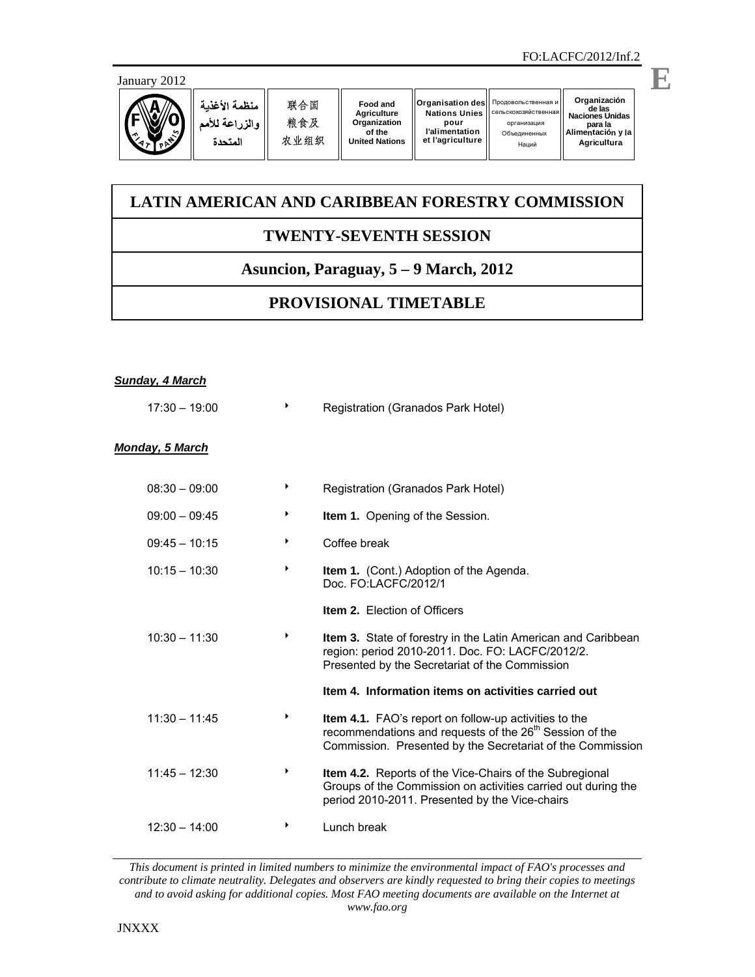**E**



## **LATIN AMERICAN AND CARIBBEAN FORESTRY COMMISSION**

## **TWENTY-SEVENTH SESSION**

## **Asuncion, Paraguay, 5 – 9 March, 2012**

## **PROVISIONAL TIMETABLE**

| <b>Sunday, 4 March</b> |   |                                                                                                                                                                                            |
|------------------------|---|--------------------------------------------------------------------------------------------------------------------------------------------------------------------------------------------|
| $17:30 - 19:00$        | ▶ | Registration (Granados Park Hotel)                                                                                                                                                         |
| <b>Monday, 5 March</b> |   |                                                                                                                                                                                            |
| $08:30 - 09:00$        | ▶ | Registration (Granados Park Hotel)                                                                                                                                                         |
| $09:00 - 09:45$        | ▶ | Item 1. Opening of the Session.                                                                                                                                                            |
| $09:45 - 10:15$        | ▶ | Coffee break                                                                                                                                                                               |
| $10:15 - 10:30$        | ▶ | <b>Item 1.</b> (Cont.) Adoption of the Agenda.<br>Doc. FO:LACFC/2012/1                                                                                                                     |
|                        |   | <b>Item 2. Election of Officers</b>                                                                                                                                                        |
| $10:30 - 11:30$        | ▶ | Item 3. State of forestry in the Latin American and Caribbean<br>region: period 2010-2011. Doc. FO: LACFC/2012/2.<br>Presented by the Secretariat of the Commission                        |
|                        |   | Item 4. Information items on activities carried out                                                                                                                                        |
| $11:30 - 11:45$        | ▶ | Item 4.1. FAO's report on follow-up activities to the<br>recommendations and requests of the 26 <sup>th</sup> Session of the<br>Commission. Presented by the Secretariat of the Commission |
| $11:45 - 12:30$        | ▶ | Item 4.2. Reports of the Vice-Chairs of the Subregional<br>Groups of the Commission on activities carried out during the<br>period 2010-2011. Presented by the Vice-chairs                 |
| $12:30 - 14:00$        |   | Lunch break                                                                                                                                                                                |

*This document is printed in limited numbers to minimize the environmental impact of FAO's processes and contribute to climate neutrality. Delegates and observers are kindly requested to bring their copies to meetings and to avoid asking for additional copies. Most FAO meeting documents are available on the Internet at www.fao.org*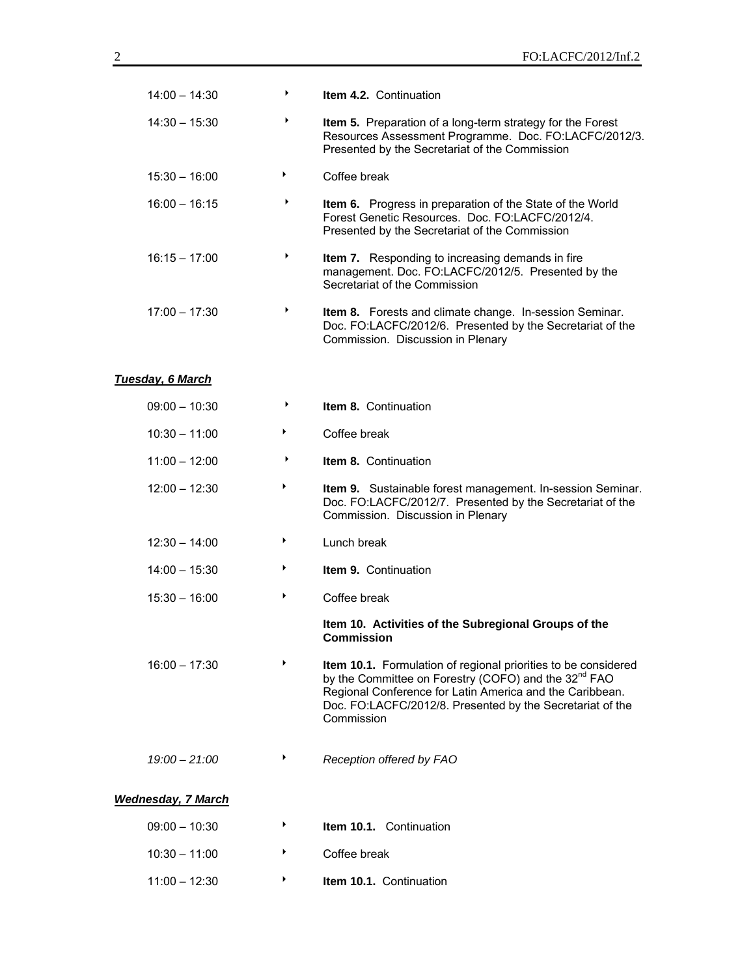| $14:00 - 14:30$           | ▶ | Item 4.2. Continuation                                                                                                                                                                                                                                                    |
|---------------------------|---|---------------------------------------------------------------------------------------------------------------------------------------------------------------------------------------------------------------------------------------------------------------------------|
| $14:30 - 15:30$           | ▶ | Item 5. Preparation of a long-term strategy for the Forest<br>Resources Assessment Programme. Doc. FO:LACFC/2012/3.<br>Presented by the Secretariat of the Commission                                                                                                     |
| $15:30 - 16:00$           | ▶ | Coffee break                                                                                                                                                                                                                                                              |
| $16:00 - 16:15$           | ▶ | Item 6. Progress in preparation of the State of the World<br>Forest Genetic Resources. Doc. FO:LACFC/2012/4.<br>Presented by the Secretariat of the Commission                                                                                                            |
| $16:15 - 17:00$           | ▶ | Item 7. Responding to increasing demands in fire<br>management. Doc. FO:LACFC/2012/5. Presented by the<br>Secretariat of the Commission                                                                                                                                   |
| $17:00 - 17:30$           | ▶ | Item 8. Forests and climate change. In-session Seminar.<br>Doc. FO:LACFC/2012/6. Presented by the Secretariat of the<br>Commission. Discussion in Plenary                                                                                                                 |
| <b>Tuesday, 6 March</b>   |   |                                                                                                                                                                                                                                                                           |
| $09:00 - 10:30$           | ▶ | <b>Item 8. Continuation</b>                                                                                                                                                                                                                                               |
| $10:30 - 11:00$           | ▶ | Coffee break                                                                                                                                                                                                                                                              |
| $11:00 - 12:00$           | ▶ | Item 8. Continuation                                                                                                                                                                                                                                                      |
| $12:00 - 12:30$           | ▶ | Item 9. Sustainable forest management. In-session Seminar.<br>Doc. FO:LACFC/2012/7. Presented by the Secretariat of the<br>Commission. Discussion in Plenary                                                                                                              |
| $12:30 - 14:00$           | ▶ | Lunch break                                                                                                                                                                                                                                                               |
| $14:00 - 15:30$           | ▶ | Item 9. Continuation                                                                                                                                                                                                                                                      |
| $15:30 - 16:00$           | ▶ | Coffee break                                                                                                                                                                                                                                                              |
|                           |   | Item 10. Activities of the Subregional Groups of the<br>Commission                                                                                                                                                                                                        |
| $16:00 - 17:30$           |   | Item 10.1. Formulation of regional priorities to be considered<br>by the Committee on Forestry (COFO) and the 32 <sup>nd</sup> FAO<br>Regional Conference for Latin America and the Caribbean.<br>Doc. FO:LACFC/2012/8. Presented by the Secretariat of the<br>Commission |
| $19:00 - 21:00$           |   | Reception offered by FAO                                                                                                                                                                                                                                                  |
| <b>Wednesday, 7 March</b> |   |                                                                                                                                                                                                                                                                           |
| $09:00 - 10:30$           |   | Item 10.1. Continuation                                                                                                                                                                                                                                                   |
| $10:30 - 11:00$           |   | Coffee break                                                                                                                                                                                                                                                              |
| $11:00 - 12:30$           | ▶ | <b>Item 10.1. Continuation</b>                                                                                                                                                                                                                                            |